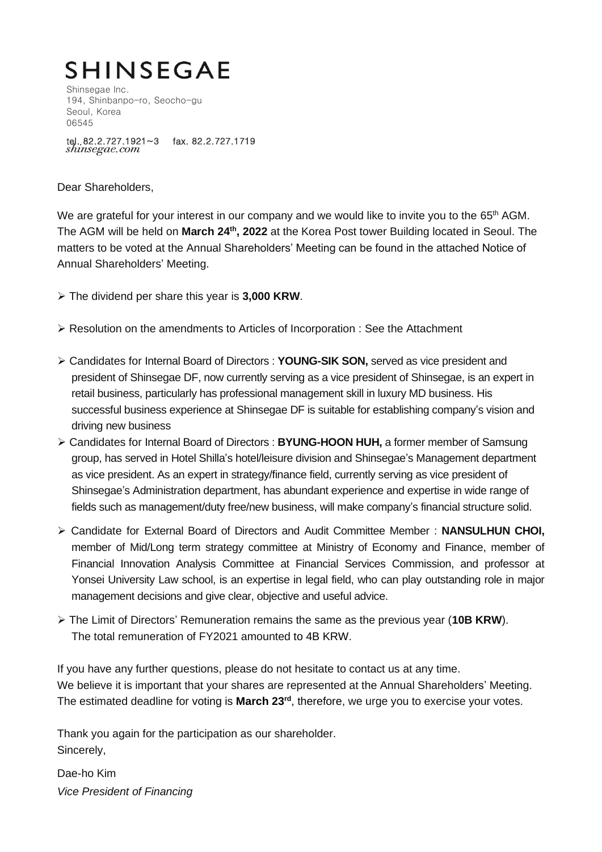# **SHINSEGAE**

Shinsegae Inc. 194, Shinbanpo-ro, Seocho-gu Seoul, Korea 06545

tel. 82.2.727.1921~3 fax. 82.2.727.1719<br>shinsegae.com

Dear Shareholders,

We are grateful for your interest in our company and we would like to invite you to the 65<sup>th</sup> AGM. The AGM will be held on **March 24 th, 2022** at the Korea Post tower Building located in Seoul. The matters to be voted at the Annual Shareholders' Meeting can be found in the attached Notice of Annual Shareholders' Meeting.

- ➢ The dividend per share this year is **3,000 KRW**.
- ➢ Resolution on the amendments to Articles of Incorporation : See the Attachment
- ➢ Candidates for Internal Board of Directors : **YOUNG-SIK SON,** served as vice president and president of Shinsegae DF, now currently serving as a vice president of Shinsegae, is an expert in retail business, particularly has professional management skill in luxury MD business. His successful business experience at Shinsegae DF is suitable for establishing company's vision and driving new business
- ➢ Candidates for Internal Board of Directors : **BYUNG-HOON HUH,** a former member of Samsung group, has served in Hotel Shilla's hotel/leisure division and Shinsegae's Management department as vice president. As an expert in strategy/finance field, currently serving as vice president of Shinsegae's Administration department, has abundant experience and expertise in wide range of fields such as management/duty free/new business, will make company's financial structure solid.
- ➢ Candidate for External Board of Directors and Audit Committee Member : **NANSULHUN CHOI,** member of Mid/Long term strategy committee at Ministry of Economy and Finance, member of Financial Innovation Analysis Committee at Financial Services Commission, and professor at Yonsei University Law school, is an expertise in legal field, who can play outstanding role in major management decisions and give clear, objective and useful advice.
- ➢ The Limit of Directors' Remuneration remains the same as the previous year (**10B KRW**). The total remuneration of FY2021 amounted to 4B KRW.

If you have any further questions, please do not hesitate to contact us at any time. We believe it is important that your shares are represented at the Annual Shareholders' Meeting. The estimated deadline for voting is **March 23 rd**, therefore, we urge you to exercise your votes.

Thank you again for the participation as our shareholder. Sincerely,

Dae-ho Kim *Vice President of Financing*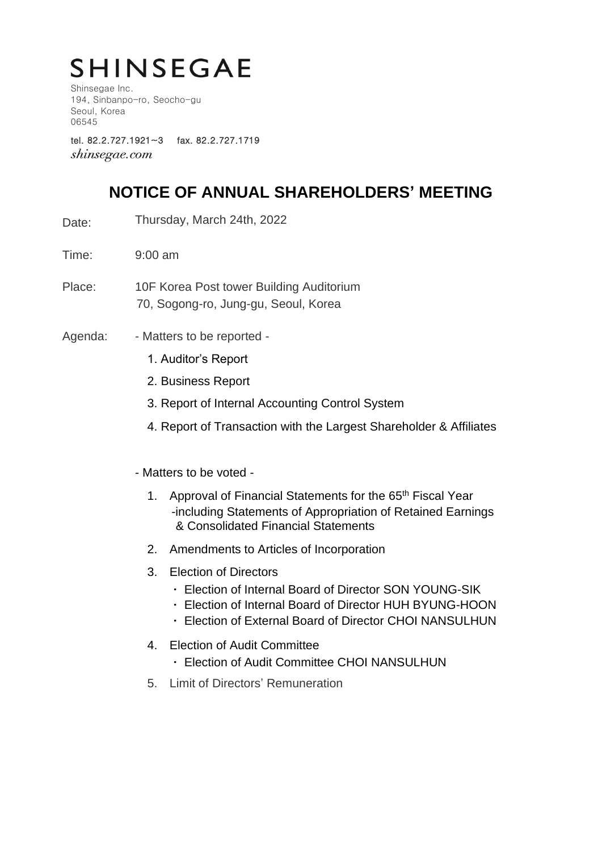# **SHINSEGAE**

Shinsegae Inc. 194, Sinbanpo-ro, Seocho-gu Seoul, Korea 06545

tel. 82.2.727.1921~3 fax. 82.2.727.1719 *shinsegae.com* 

## **NOTICE OF ANNUAL SHAREHOLDERS' MEETING**

- Date: Thursday, March 24th, 2022
- Time: 9:00 am
- Place: 10F Korea Post tower Building Auditorium 70, Sogong-ro, Jung-gu, Seoul, Korea
- Agenda: Matters to be reported -
	- 1. Auditor's Report
	- 2. Business Report
	- 3. Report of Internal Accounting Control System
	- 4. Report of Transaction with the Largest Shareholder & Affiliates
	- Matters to be voted
		- 1. Approval of Financial Statements for the 65<sup>th</sup> Fiscal Year -including Statements of Appropriation of Retained Earnings & Consolidated Financial Statements
		- 2. Amendments to Articles of Incorporation
		- 3. Election of Directors
			- ㆍ Election of Internal Board of Director SON YOUNG-SIK
			- ㆍ Election of Internal Board of Director HUH BYUNG-HOON
			- ㆍ Election of External Board of Director CHOI NANSULHUN
		- 4. Election of Audit Committee
			- ㆍ Election of Audit Committee CHOI NANSULHUN
		- 5. Limit of Directors' Remuneration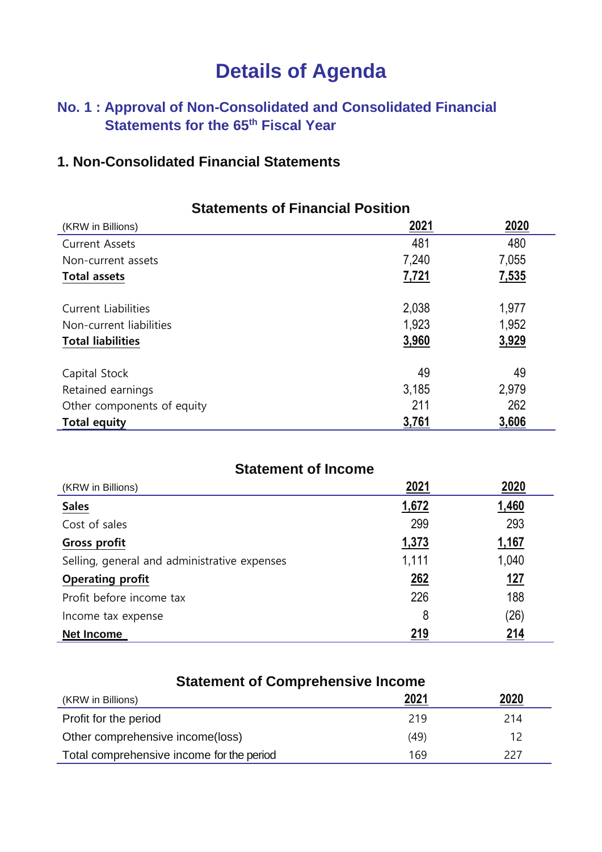## **Details of Agenda**

## **No. 1 : Approval of Non-Consolidated and Consolidated Financial Statements for the 65 th Fiscal Year**

### **1. Non-Consolidated Financial Statements**

| <b>Statements of Financial Position</b> |              |       |
|-----------------------------------------|--------------|-------|
| (KRW in Billions)                       | <u> 2021</u> | 2020  |
| <b>Current Assets</b>                   | 481          | 480   |
| Non-current assets                      | 7,240        | 7,055 |
| <b>Total assets</b>                     | 7,721        | 7,535 |
| <b>Current Liabilities</b>              | 2,038        | 1,977 |
| Non-current liabilities                 | 1,923        | 1,952 |
| <b>Total liabilities</b>                | 3,960        | 3,929 |
| Capital Stock                           | 49           | 49    |
| Retained earnings                       | 3,185        | 2,979 |
| Other components of equity              | 211          | 262   |
| <b>Total equity</b>                     | 3,761        | 3,606 |

| <b>Statement of Income</b>                   |       |            |  |
|----------------------------------------------|-------|------------|--|
| (KRW in Billions)                            | 2021  | 2020       |  |
| <b>Sales</b>                                 | 1,672 | 1,460      |  |
| Cost of sales                                | 299   | 293        |  |
| Gross profit                                 | 1,373 | 1,167      |  |
| Selling, general and administrative expenses | 1,111 | 1,040      |  |
| <b>Operating profit</b>                      | 262   | <u>127</u> |  |
| Profit before income tax                     | 226   | 188        |  |
| Income tax expense                           | 8     | (26)       |  |
| <b>Net Income</b>                            | 219   | 214        |  |

| <b>Statement of Comprehensive Income</b>                |      |      |  |
|---------------------------------------------------------|------|------|--|
| (KRW in Billions)                                       | 2021 | 2020 |  |
| Profit for the period                                   | 219  | 214  |  |
| Other comprehensive income(loss)                        | (49) | 12   |  |
| Total comprehensive income for the period<br>169<br>227 |      |      |  |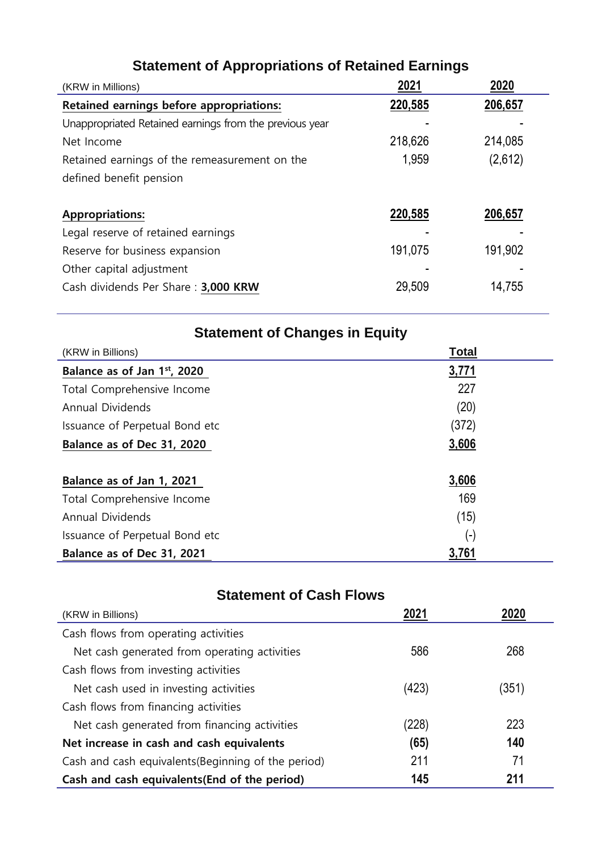| (KRW in Millions)                                       | 2021    | 2020    |
|---------------------------------------------------------|---------|---------|
| Retained earnings before appropriations:                | 220,585 | 206,657 |
| Unappropriated Retained earnings from the previous year |         |         |
| Net Income                                              | 218,626 | 214,085 |
| Retained earnings of the remeasurement on the           | 1,959   | (2,612) |
| defined benefit pension                                 |         |         |
|                                                         |         |         |
| <b>Appropriations:</b>                                  | 220,585 | 206,657 |
| Legal reserve of retained earnings                      |         |         |
| Reserve for business expansion                          | 191,075 | 191,902 |
| Other capital adjustment                                |         |         |
| Cash dividends Per Share: 3,000 KRW                     | 29,509  | 14,755  |
|                                                         |         |         |

## **Statement of Appropriations of Retained Earnings**

| <b>Statement of Changes in Equity</b> |                    |  |
|---------------------------------------|--------------------|--|
| <b>Total</b><br>(KRW in Billions)     |                    |  |
| Balance as of Jan 1st, 2020           | 3,771              |  |
| Total Comprehensive Income            | 227                |  |
| Annual Dividends                      | (20)               |  |
| Issuance of Perpetual Bond etc        | (372)              |  |
| Balance as of Dec 31, 2020            | 3,606              |  |
| Balance as of Jan 1, 2021             | 3,606              |  |
| Total Comprehensive Income            | 169                |  |
| <b>Annual Dividends</b>               | (15)               |  |
| Issuance of Perpetual Bond etc        | $(\textnormal{-})$ |  |
| Balance as of Dec 31, 2021            | 3,761              |  |

## **Statement of Cash Flows**

| (KRW in Billions)                                    | 2021  |       |
|------------------------------------------------------|-------|-------|
| Cash flows from operating activities                 |       |       |
| Net cash generated from operating activities         | 586   | 268   |
| Cash flows from investing activities                 |       |       |
| Net cash used in investing activities                | (423) | (351) |
| Cash flows from financing activities                 |       |       |
| Net cash generated from financing activities         | (228) | 223   |
| Net increase in cash and cash equivalents            | (65)  | 140   |
| Cash and cash equivalents (Beginning of the period)  | 211   | 71    |
| 145<br>Cash and cash equivalents (End of the period) |       | 211   |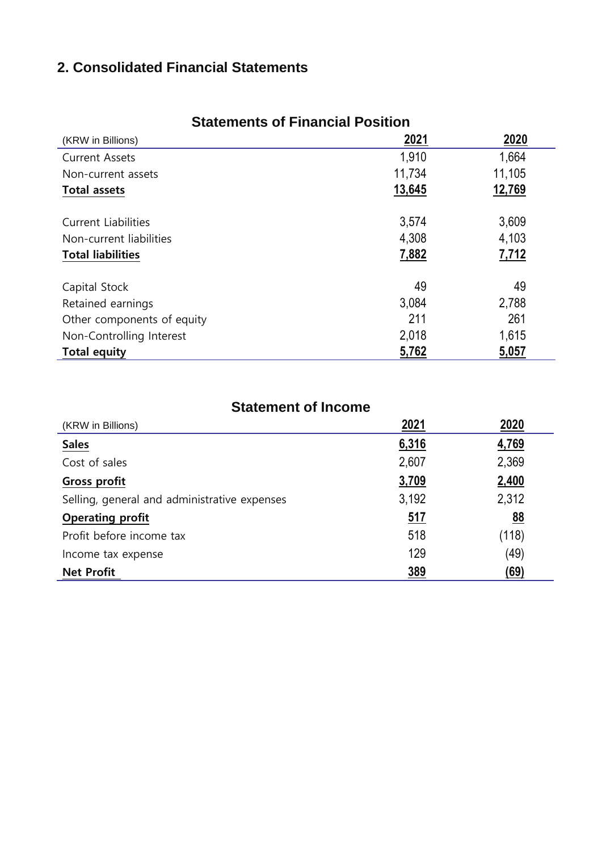## **2. Consolidated Financial Statements**

| (KRW in Billions)          | 2021   | 2020   |
|----------------------------|--------|--------|
| <b>Current Assets</b>      | 1,910  | 1,664  |
| Non-current assets         | 11,734 | 11,105 |
| <b>Total assets</b>        | 13,645 | 12,769 |
| <b>Current Liabilities</b> | 3,574  | 3,609  |
| Non-current liabilities    | 4,308  | 4,103  |
| <b>Total liabilities</b>   | 7,882  | 7,712  |
| Capital Stock              | 49     | 49     |
| Retained earnings          | 3,084  | 2,788  |
| Other components of equity | 211    | 261    |
| Non-Controlling Interest   | 2,018  | 1,615  |
| <b>Total equity</b>        | 5,762  | 5,057  |

#### **Statements of Financial Position**

#### **Statement of Income**

| (KRW in Billions)                            | <u>2021</u> | 2020      |
|----------------------------------------------|-------------|-----------|
| <b>Sales</b>                                 | 6,316       | 4,769     |
| Cost of sales                                | 2,607       | 2,369     |
| Gross profit                                 | 3,709       | 2,400     |
| Selling, general and administrative expenses | 3,192       | 2,312     |
| <b>Operating profit</b>                      | <u>517</u>  | <u>88</u> |
| Profit before income tax                     | 518         | (118)     |
| Income tax expense                           | 129         | (49)      |
| <b>Net Profit</b>                            | 389         | (69)      |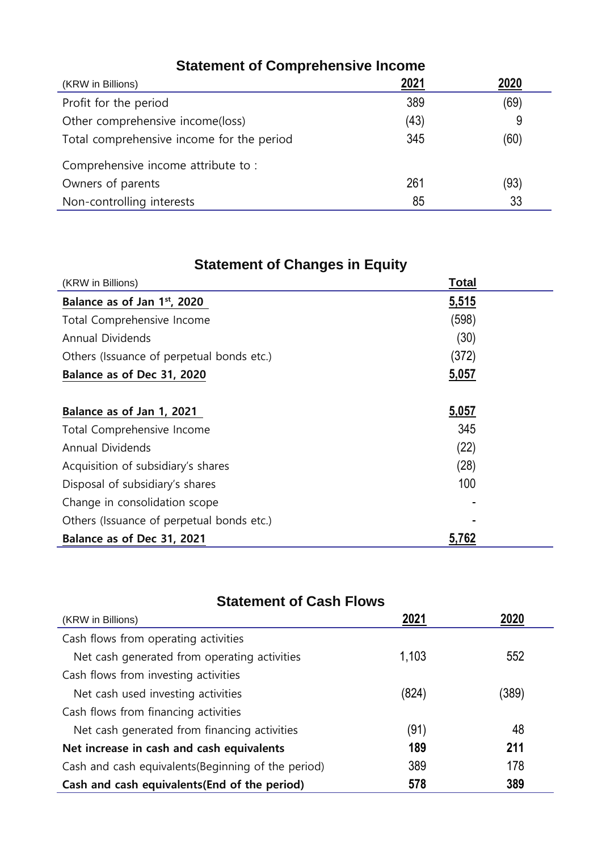| <b>Statement of Comprehensive Income</b>  |      |      |
|-------------------------------------------|------|------|
| (KRW in Billions)                         | 2021 | 2020 |
| Profit for the period                     | 389  | (69) |
| Other comprehensive income(loss)          | (43) | 9    |
| Total comprehensive income for the period | 345  | (60) |
| Comprehensive income attribute to:        |      |      |
| Owners of parents                         | 261  | (93) |
| Non-controlling interests                 | 85   | 33   |

## **Statement of Changes in Equity**

| (KRW in Billions)                         | <u>Total</u> |
|-------------------------------------------|--------------|
| Balance as of Jan 1st, 2020               | 5,515        |
| Total Comprehensive Income                | (598)        |
| Annual Dividends                          | (30)         |
| Others (Issuance of perpetual bonds etc.) | (372)        |
| Balance as of Dec 31, 2020                | 5,057        |
|                                           |              |
| Balance as of Jan 1, 2021                 | 5,057        |
| Total Comprehensive Income                | 345          |
| Annual Dividends                          | (22)         |
| Acquisition of subsidiary's shares        | (28)         |
| Disposal of subsidiary's shares           | 100          |
| Change in consolidation scope             |              |
| Others (Issuance of perpetual bonds etc.) |              |
| Balance as of Dec 31, 2021                | 5,762        |

## **Statement of Cash Flows**

| (KRW in Billions)                                   | 2021  | 2020  |
|-----------------------------------------------------|-------|-------|
| Cash flows from operating activities                |       |       |
| Net cash generated from operating activities        | 1,103 | 552   |
| Cash flows from investing activities                |       |       |
| Net cash used investing activities                  | (824) | (389) |
| Cash flows from financing activities                |       |       |
| Net cash generated from financing activities        | (91)  | 48    |
| Net increase in cash and cash equivalents           | 189   | 211   |
| Cash and cash equivalents (Beginning of the period) | 389   | 178   |
| Cash and cash equivalents (End of the period)       | 578   | 389   |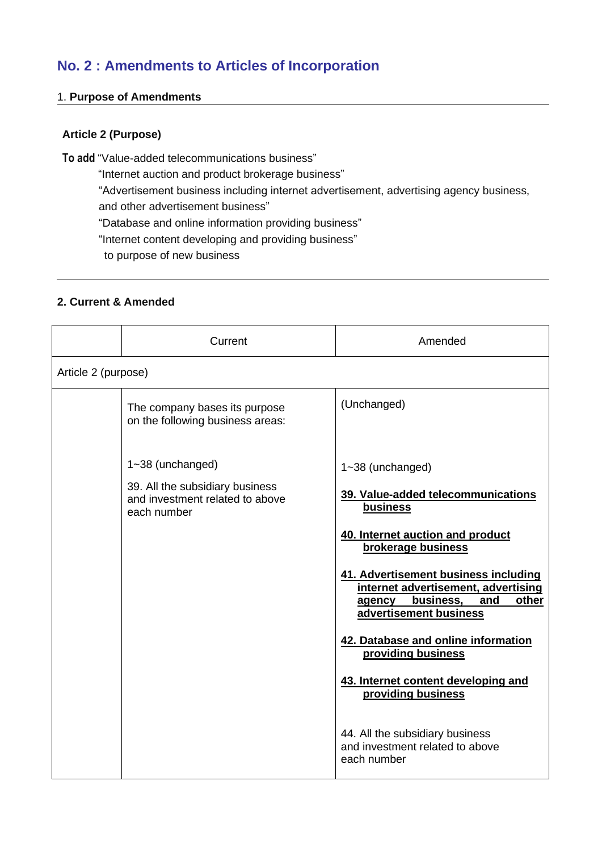## **No. 2 : Amendments to Articles of Incorporation**

#### 1. **Purpose of Amendments**

#### **Article 2 (Purpose)**

**To add** "Value-added telecommunications business"

"Internet auction and product brokerage business"

"Advertisement business including internet advertisement, advertising agency business,

and other advertisement business"

"Database and online information providing business"

"Internet content developing and providing business"

to purpose of new business

#### **2. Current & Amended**

|                     | Current                                                                           | Amended                                                                                                                                      |
|---------------------|-----------------------------------------------------------------------------------|----------------------------------------------------------------------------------------------------------------------------------------------|
| Article 2 (purpose) |                                                                                   |                                                                                                                                              |
|                     | The company bases its purpose<br>on the following business areas:                 | (Unchanged)                                                                                                                                  |
|                     | 1~38 (unchanged)                                                                  | $1 - 38$ (unchanged)                                                                                                                         |
|                     | 39. All the subsidiary business<br>and investment related to above<br>each number | 39. Value-added telecommunications<br>business                                                                                               |
|                     |                                                                                   | 40. Internet auction and product<br>brokerage business                                                                                       |
|                     |                                                                                   | 41. Advertisement business including<br>internet advertisement, advertising<br>business,<br>other<br>and<br>agency<br>advertisement business |
|                     |                                                                                   | 42. Database and online information<br>providing business                                                                                    |
|                     |                                                                                   | 43. Internet content developing and<br>providing business                                                                                    |
|                     |                                                                                   | 44. All the subsidiary business<br>and investment related to above<br>each number                                                            |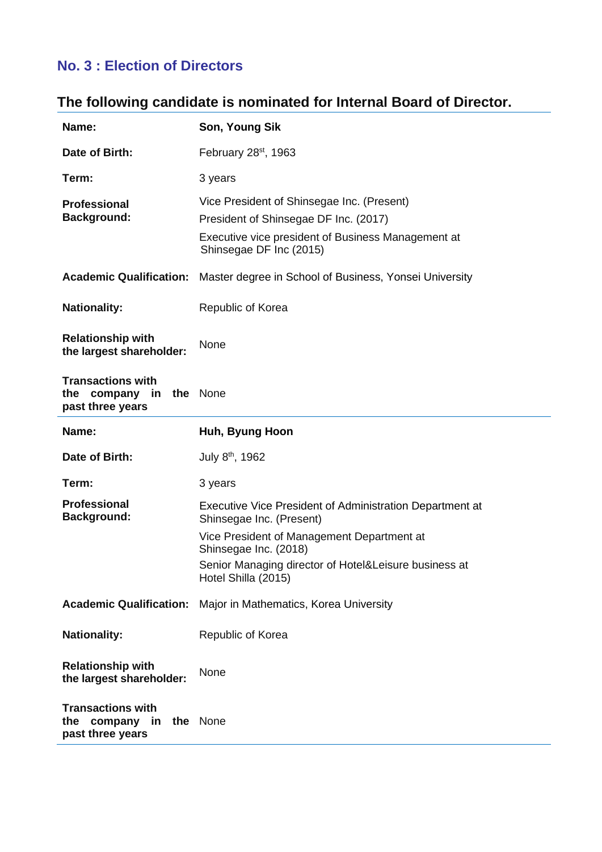## **No. 3 : Election of Directors**

## **The following candidate is nominated for Internal Board of Director.**

| Name:                                                                   | Son, Young Sik                                                                                                                                                       |  |
|-------------------------------------------------------------------------|----------------------------------------------------------------------------------------------------------------------------------------------------------------------|--|
| Date of Birth:                                                          | February 28 <sup>st</sup> , 1963                                                                                                                                     |  |
| Term:                                                                   | 3 years                                                                                                                                                              |  |
| <b>Professional</b><br><b>Background:</b>                               | Vice President of Shinsegae Inc. (Present)<br>President of Shinsegae DF Inc. (2017)<br>Executive vice president of Business Management at<br>Shinsegae DF Inc (2015) |  |
| <b>Academic Qualification:</b>                                          | Master degree in School of Business, Yonsei University                                                                                                               |  |
| <b>Nationality:</b>                                                     | Republic of Korea                                                                                                                                                    |  |
| <b>Relationship with</b><br>the largest shareholder:                    | None                                                                                                                                                                 |  |
| <b>Transactions with</b><br>the company in the None<br>past three years |                                                                                                                                                                      |  |
| Name:                                                                   | Huh, Byung Hoon                                                                                                                                                      |  |
| Date of Birth:                                                          | July 8 <sup>th</sup> , 1962                                                                                                                                          |  |
| Term:                                                                   | 3 years                                                                                                                                                              |  |
| <b>Professional</b><br><b>Background:</b>                               | Executive Vice President of Administration Department at<br>Shinsegae Inc. (Present)                                                                                 |  |
|                                                                         | Vice President of Management Department at<br>Shinsegae Inc. (2018)                                                                                                  |  |
|                                                                         | Senior Managing director of Hotel&Leisure business at<br>Hotel Shilla (2015)                                                                                         |  |
| <b>Academic Qualification:</b>                                          | Major in Mathematics, Korea University                                                                                                                               |  |
| <b>Nationality:</b>                                                     | Republic of Korea                                                                                                                                                    |  |
| <b>Relationship with</b><br>the largest shareholder:                    | None                                                                                                                                                                 |  |
| <b>Transactions with</b><br>company<br>in<br>the<br>past three years    | the None                                                                                                                                                             |  |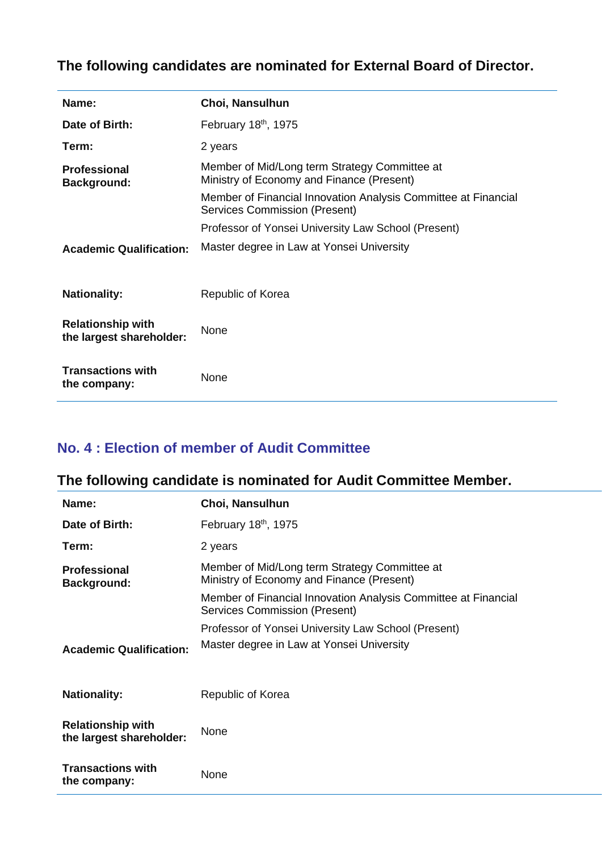## **The following candidates are nominated for External Board of Director.**

| Name:                                                | Choi, Nansulhun                                                                                        |  |
|------------------------------------------------------|--------------------------------------------------------------------------------------------------------|--|
| Date of Birth:                                       | February 18th, 1975                                                                                    |  |
| Term:                                                | 2 years                                                                                                |  |
| <b>Professional</b><br><b>Background:</b>            | Member of Mid/Long term Strategy Committee at<br>Ministry of Economy and Finance (Present)             |  |
|                                                      | Member of Financial Innovation Analysis Committee at Financial<br><b>Services Commission (Present)</b> |  |
|                                                      | Professor of Yonsei University Law School (Present)                                                    |  |
| <b>Academic Qualification:</b>                       | Master degree in Law at Yonsei University                                                              |  |
| <b>Nationality:</b>                                  | Republic of Korea                                                                                      |  |
| <b>Relationship with</b><br>the largest shareholder: | <b>None</b>                                                                                            |  |
| <b>Transactions with</b><br>the company:             | None                                                                                                   |  |

#### **No. 4 : Election of member of Audit Committee**

## **The following candidate is nominated for Audit Committee Member.**

| Name:                                                | Choi, Nansulhun                                                                                 |  |
|------------------------------------------------------|-------------------------------------------------------------------------------------------------|--|
| Date of Birth:                                       | February 18 <sup>th</sup> , 1975                                                                |  |
| Term:                                                | 2 years                                                                                         |  |
| <b>Professional</b><br><b>Background:</b>            | Member of Mid/Long term Strategy Committee at<br>Ministry of Economy and Finance (Present)      |  |
|                                                      | Member of Financial Innovation Analysis Committee at Financial<br>Services Commission (Present) |  |
|                                                      | Professor of Yonsei University Law School (Present)                                             |  |
| <b>Academic Qualification:</b>                       | Master degree in Law at Yonsei University                                                       |  |
| <b>Nationality:</b>                                  | Republic of Korea                                                                               |  |
| <b>Relationship with</b><br>the largest shareholder: | <b>None</b>                                                                                     |  |
| <b>Transactions with</b><br>the company:             | None                                                                                            |  |